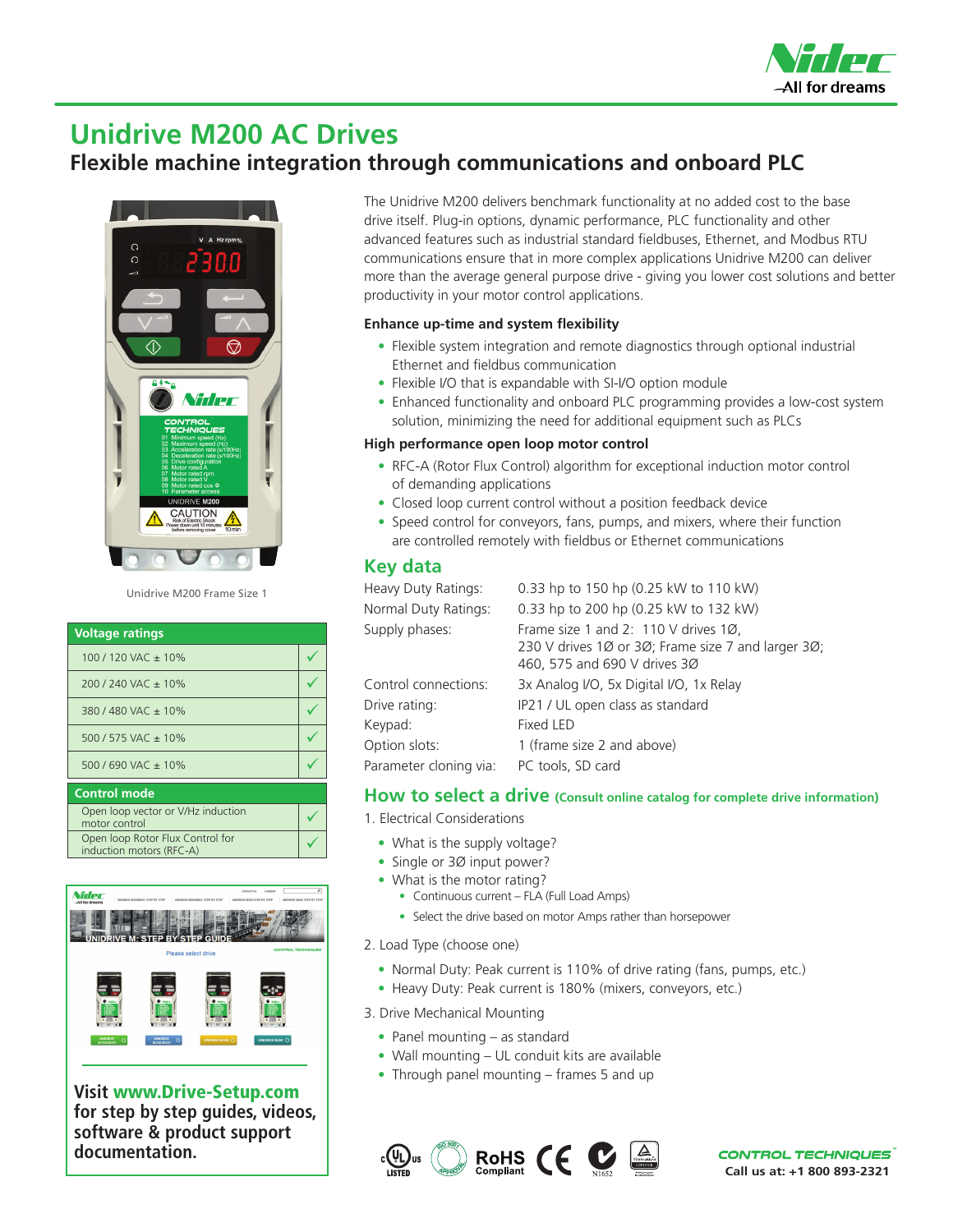

# **Unidrive M200 AC Drives**

## **Flexible machine integration through communications and onboard PLC**



Unidrive M200 Frame Size 1

| <b>Voltage ratings</b>                                       |  |
|--------------------------------------------------------------|--|
| 100 / 120 VAC $\pm$ 10%                                      |  |
| $200/240$ VAC $\pm$ 10%                                      |  |
| 380/480 VAC $\pm$ 10%                                        |  |
| 500 / 575 VAC ± 10%                                          |  |
| 500 / 690 VAC ± 10%                                          |  |
| <b>Control mode</b>                                          |  |
| Open loop vector or V/Hz induction<br>motor control          |  |
| Open loop Rotor Flux Control for<br>induction motors (RFC-A) |  |



**Visit** www.Drive-Setup.com **for step by step guides, videos, software & product support documentation.**

The Unidrive M200 delivers benchmark functionality at no added cost to the base drive itself. Plug-in options, dynamic performance, PLC functionality and other advanced features such as industrial standard fieldbuses, Ethernet, and Modbus RTU communications ensure that in more complex applications Unidrive M200 can deliver more than the average general purpose drive - giving you lower cost solutions and better productivity in your motor control applications.

#### **Enhance up-time and system flexibility**

- Flexible system integration and remote diagnostics through optional industrial Ethernet and fieldbus communication
- Flexible I/O that is expandable with SI-I/O option module
- Enhanced functionality and onboard PLC programming provides a low-cost system solution, minimizing the need for additional equipment such as PLCs

#### **High performance open loop motor control**

- RFC-A (Rotor Flux Control) algorithm for exceptional induction motor control of demanding applications
- Closed loop current control without a position feedback device
- Speed control for conveyors, fans, pumps, and mixers, where their function are controlled remotely with fieldbus or Ethernet communications

#### **Key data**

| Heavy Duty Ratings:    | 0.33 hp to 150 hp (0.25 kW to 110 kW)                                                                                      |
|------------------------|----------------------------------------------------------------------------------------------------------------------------|
| Normal Duty Ratings:   | 0.33 hp to 200 hp (0.25 kW to 132 kW)                                                                                      |
| Supply phases:         | Frame size 1 and 2: 110 V drives 1Ø,<br>230 V drives 1Ø or 3Ø; Frame size 7 and larger 3Ø;<br>460, 575 and 690 V drives 3Ø |
| Control connections:   | 3x Analog I/O, 5x Digital I/O, 1x Relay                                                                                    |
| Drive rating:          | IP21 / UL open class as standard                                                                                           |
| Keypad:                | Fixed LED                                                                                                                  |
| Option slots:          | 1 (frame size 2 and above)                                                                                                 |
| Parameter cloning via: | PC tools, SD card                                                                                                          |
|                        |                                                                                                                            |

#### **How to select a drive (Consult online catalog for complete drive information)**

- 1. Electrical Considerations
	- What is the supply voltage?
	- Single or 30 input power?
	- What is the motor rating?
		- Continuous current FLA (Full Load Amps)
		- Select the drive based on motor Amps rather than horsepower
- 2. Load Type (choose one)
	- Normal Duty: Peak current is 110% of drive rating (fans, pumps, etc.)
	- Heavy Duty: Peak current is 180% (mixers, conveyors, etc.)
- 3. Drive Mechanical Mounting
	- Panel mounting as standard
	- Wall mounting UL conduit kits are available
	- Through panel mounting frames 5 and up



**CONTROL TECHNIQUES Call us at: +1 800 893-2321**